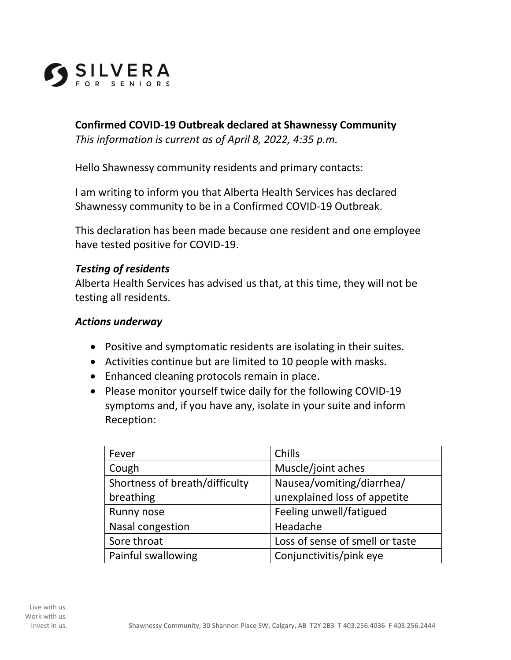

## **Confirmed COVID-19 Outbreak declared at Shawnessy Community**

*This information is current as of April 8, 2022, 4:35 p.m.*

Hello Shawnessy community residents and primary contacts:

I am writing to inform you that Alberta Health Services has declared Shawnessy community to be in a Confirmed COVID-19 Outbreak.

This declaration has been made because one resident and one employee have tested positive for COVID-19.

## *Testing of residents*

Alberta Health Services has advised us that, at this time, they will not be testing all residents.

## *Actions underway*

- Positive and symptomatic residents are isolating in their suites.
- Activities continue but are limited to 10 people with masks.
- Enhanced cleaning protocols remain in place.
- Please monitor yourself twice daily for the following COVID-19 symptoms and, if you have any, isolate in your suite and inform Reception:

| Fever                          | Chills                          |
|--------------------------------|---------------------------------|
| Cough                          | Muscle/joint aches              |
| Shortness of breath/difficulty | Nausea/vomiting/diarrhea/       |
| breathing                      | unexplained loss of appetite    |
| Runny nose                     | Feeling unwell/fatigued         |
| Nasal congestion               | Headache                        |
| Sore throat                    | Loss of sense of smell or taste |
| Painful swallowing             | Conjunctivitis/pink eye         |